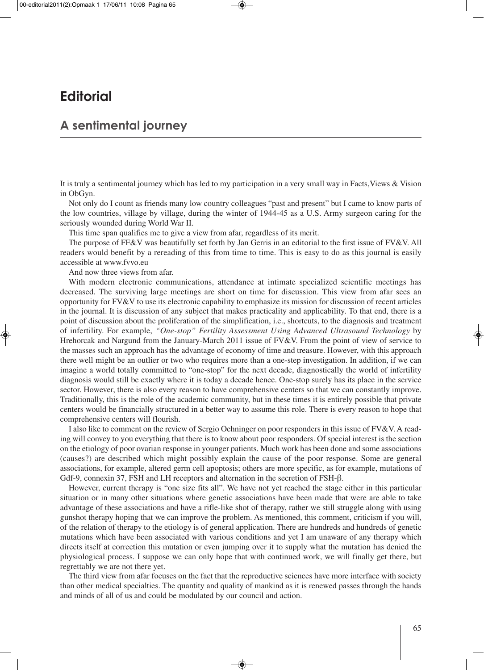## **Editorial**

## **A sentimental journey**

It is truly a sentimental journey which has led to my participation in a very small way in Facts,Views & Vision in ObGyn.

Not only do I count as friends many low country colleagues "past and present" but I came to know parts of the low countries, village by village, during the winter of 1944-45 as a U.S. Army surgeon caring for the seriously wounded during World War II.

This time span qualifies me to give a view from afar, regardless of its merit.

The purpose of FF&V was beautifully set forth by Jan Gerris in an editorial to the first issue of FV&V. All readers would benefit by a rereading of this from time to time. This is easy to do as this journal is easily accessible at www.fvvo.eu

And now three views from afar.

With modern electronic communications, attendance at intimate specialized scientific meetings has decreased. The surviving large meetings are short on time for discussion. This view from afar sees an opportunity for FV&V to use its electronic capability to emphasize its mission for discussion of recent articles in the journal. It is discussion of any subject that makes practicality and applicability. To that end, there is a point of discussion about the proliferation of the simplification, i.e., shortcuts, to the diagnosis and treatment of infertility. For example, *"One-stop" Fertility Assessment Using Advanced Ultrasound Technology* by Hrehorcak and Nargund from the January-March 2011 issue of FV&V. From the point of view of service to the masses such an approach has the advantage of economy of time and treasure. However, with this approach there well might be an outlier or two who requires more than a one-step investigation. In addition, if we can imagine a world totally committed to "one-stop" for the next decade, diagnostically the world of infertility diagnosis would still be exactly where it is today a decade hence. One-stop surely has its place in the service sector. However, there is also every reason to have comprehensive centers so that we can constantly improve. Traditionally, this is the role of the academic community, but in these times it is entirely possible that private centers would be financially structured in a better way to assume this role. There is every reason to hope that comprehensive centers will flourish.

I also like to comment on the review of Sergio Oehninger on poor responders in this issue of FV&V. A reading will convey to you everything that there is to know about poor responders. Of special interest is the section on the etiology of poor ovarian response in younger patients. Much work has been done and some associations (causes?) are described which might possibly explain the cause of the poor response. Some are general associations, for example, altered germ cell apoptosis; others are more specific, as for example, mutations of Gdf-9, connexin 37, FSH and LH receptors and alternation in the secretion of FSH-β.

However, current therapy is "one size fits all". We have not yet reached the stage either in this particular situation or in many other situations where genetic associations have been made that were are able to take advantage of these associations and have a rifle-like shot of therapy, rather we still struggle along with using gunshot therapy hoping that we can improve the problem. As mentioned, this comment, criticism if you will, of the relation of therapy to the etiology is of general application. There are hundreds and hundreds of genetic mutations which have been associated with various conditions and yet I am unaware of any therapy which directs itself at correction this mutation or even jumping over it to supply what the mutation has denied the physiological process. I suppose we can only hope that with continued work, we will finally get there, but regrettably we are not there yet.

The third view from afar focuses on the fact that the reproductive sciences have more interface with society than other medical specialties. The quantity and quality of mankind as it is renewed passes through the hands and minds of all of us and could be modulated by our council and action.